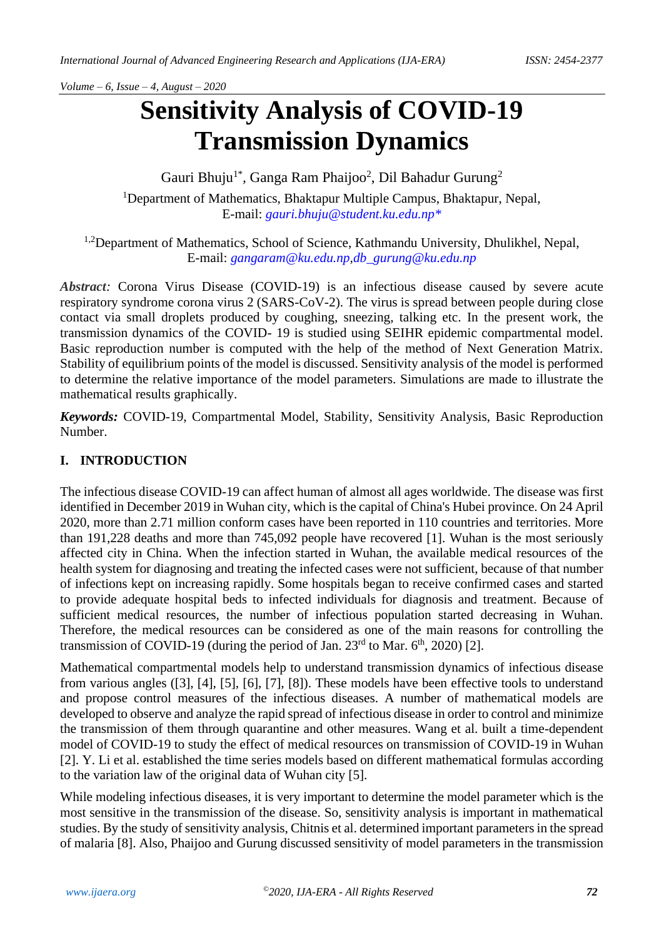# **Sensitivity Analysis of COVID-19 Transmission Dynamics**

Gauri Bhuju<sup>1\*</sup>, Ganga Ram Phaijoo<sup>2</sup>, Dil Bahadur Gurung<sup>2</sup> <sup>1</sup>Department of Mathematics, Bhaktapur Multiple Campus, Bhaktapur, Nepal, E-mail: *[gauri.bhuju@student.ku.edu.np\\*](mailto:gauri.bhuju@student.ku.edu.np*)*

<sup>1,2</sup>Department of Mathematics, School of Science, Kathmandu University, Dhulikhel, Nepal, E-mail: *[gangaram@ku.edu.np](mailto:gangaram@ku.edu.np)[,db\\_gurung@ku.edu.np](mailto:db_gurung@ku.edu.np)*

*Abstract:* Corona Virus Disease (COVID-19) is an infectious disease caused by severe acute respiratory syndrome corona virus 2 (SARS-CoV-2). The virus is spread between people during close contact via small droplets produced by coughing, sneezing, talking etc. In the present work, the transmission dynamics of the COVID- 19 is studied using SEIHR epidemic compartmental model. Basic reproduction number is computed with the help of the method of Next Generation Matrix. Stability of equilibrium points of the model is discussed. Sensitivity analysis of the model is performed to determine the relative importance of the model parameters. Simulations are made to illustrate the mathematical results graphically.

*Keywords:* COVID-19, Compartmental Model, Stability, Sensitivity Analysis, Basic Reproduction Number.

#### **I. INTRODUCTION**

The infectious disease COVID-19 can affect human of almost all ages worldwide. The disease was first identified in December 2019 in Wuhan city, which is the capital of China's Hubei province. On 24 April 2020, more than 2.71 million conform cases have been reported in 110 countries and territories. More than 191,228 deaths and more than 745,092 people have recovered [1]. Wuhan is the most seriously affected city in China. When the infection started in Wuhan, the available medical resources of the health system for diagnosing and treating the infected cases were not sufficient, because of that number of infections kept on increasing rapidly. Some hospitals began to receive confirmed cases and started to provide adequate hospital beds to infected individuals for diagnosis and treatment. Because of sufficient medical resources, the number of infectious population started decreasing in Wuhan. Therefore, the medical resources can be considered as one of the main reasons for controlling the transmission of COVID-19 (during the period of Jan.  $23<sup>rd</sup>$  to Mar.  $6<sup>th</sup>$ , 2020) [2].

Mathematical compartmental models help to understand transmission dynamics of infectious disease from various angles ([3], [4], [5], [6], [7], [8]). These models have been effective tools to understand and propose control measures of the infectious diseases. A number of mathematical models are developed to observe and analyze the rapid spread of infectious disease in order to control and minimize the transmission of them through quarantine and other measures. Wang et al. built a time-dependent model of COVID-19 to study the effect of medical resources on transmission of COVID-19 in Wuhan [2]. Y. Li et al. established the time series models based on different mathematical formulas according to the variation law of the original data of Wuhan city [5].

While modeling infectious diseases, it is very important to determine the model parameter which is the most sensitive in the transmission of the disease. So, sensitivity analysis is important in mathematical studies. By the study of sensitivity analysis, Chitnis et al. determined important parameters in the spread of malaria [8]. Also, Phaijoo and Gurung discussed sensitivity of model parameters in the transmission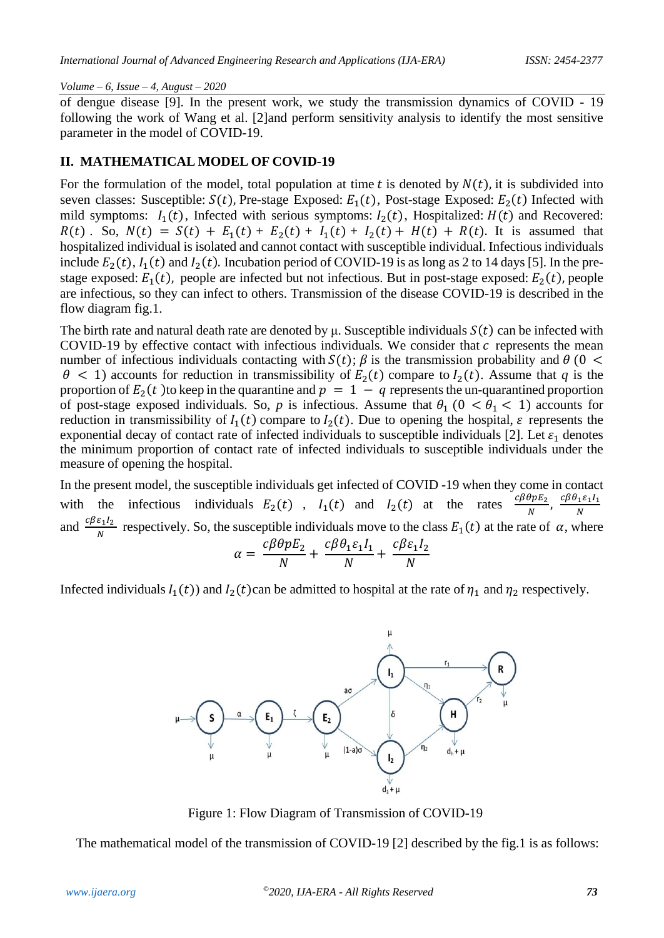of dengue disease [9]. In the present work, we study the transmission dynamics of COVID - 19 following the work of Wang et al. [2]and perform sensitivity analysis to identify the most sensitive parameter in the model of COVID-19.

#### **II. MATHEMATICAL MODEL OF COVID-19**

For the formulation of the model, total population at time t is denoted by  $N(t)$ , it is subdivided into seven classes: Susceptible:  $S(t)$ , Pre-stage Exposed:  $E_1(t)$ , Post-stage Exposed:  $E_2(t)$  Infected with mild symptoms:  $I_1(t)$ , Infected with serious symptoms:  $I_2(t)$ , Hospitalized:  $H(t)$  and Recovered:  $R(t)$ . So,  $N(t) = S(t) + E_1(t) + E_2(t) + I_1(t) + I_2(t) + H(t) + R(t)$ . It is assumed that hospitalized individual is isolated and cannot contact with susceptible individual. Infectious individuals include  $E_2(t)$ ,  $I_1(t)$  and  $I_2(t)$ . Incubation period of COVID-19 is as long as 2 to 14 days [5]. In the prestage exposed:  $E_1(t)$ , people are infected but not infectious. But in post-stage exposed:  $E_2(t)$ , people are infectious, so they can infect to others. Transmission of the disease COVID-19 is described in the flow diagram fig.1.

The birth rate and natural death rate are denoted by  $\mu$ . Susceptible individuals  $S(t)$  can be infected with COVID-19 by effective contact with infectious individuals. We consider that  $c$  represents the mean number of infectious individuals contacting with  $S(t)$ ;  $\beta$  is the transmission probability and  $\theta$  (0 <  $\theta$  < 1) accounts for reduction in transmissibility of  $E_2(t)$  compare to  $I_2(t)$ . Assume that *q* is the proportion of  $E_2(t)$  to keep in the quarantine and  $p = 1 - q$  represents the un-quarantined proportion of post-stage exposed individuals. So, *p* is infectious. Assume that  $\theta_1$  ( $0 < \theta_1 < 1$ ) accounts for reduction in transmissibility of  $I_1(t)$  compare to  $I_2(t)$ . Due to opening the hospital,  $\varepsilon$  represents the exponential decay of contact rate of infected individuals to susceptible individuals [2]. Let  $\varepsilon_1$  denotes the minimum proportion of contact rate of infected individuals to susceptible individuals under the measure of opening the hospital.

In the present model, the susceptible individuals get infected of COVID -19 when they come in contact with the infectious individuals  $E_2(t)$ ,  $I_1(t)$  and  $I_2(t)$  at the rates  $\frac{c\beta\theta pE_2}{N}$ ,  $\frac{c\beta\theta_1\epsilon_1I_1}{N}$ N and  $\frac{c\beta \varepsilon_1 I_2}{N}$  respectively. So, the susceptible individuals move to the class  $E_1(t)$  at the rate of  $\alpha$ , where

$$
\alpha = \frac{c\beta\theta pE_2}{N} + \frac{c\beta\theta_1\varepsilon_1I_1}{N} + \frac{c\beta\varepsilon_1I_2}{N}
$$

Infected individuals  $I_1(t)$  and  $I_2(t)$  can be admitted to hospital at the rate of  $\eta_1$  and  $\eta_2$  respectively.



Figure 1: Flow Diagram of Transmission of COVID-19

The mathematical model of the transmission of COVID-19 [2] described by the fig.1 is as follows: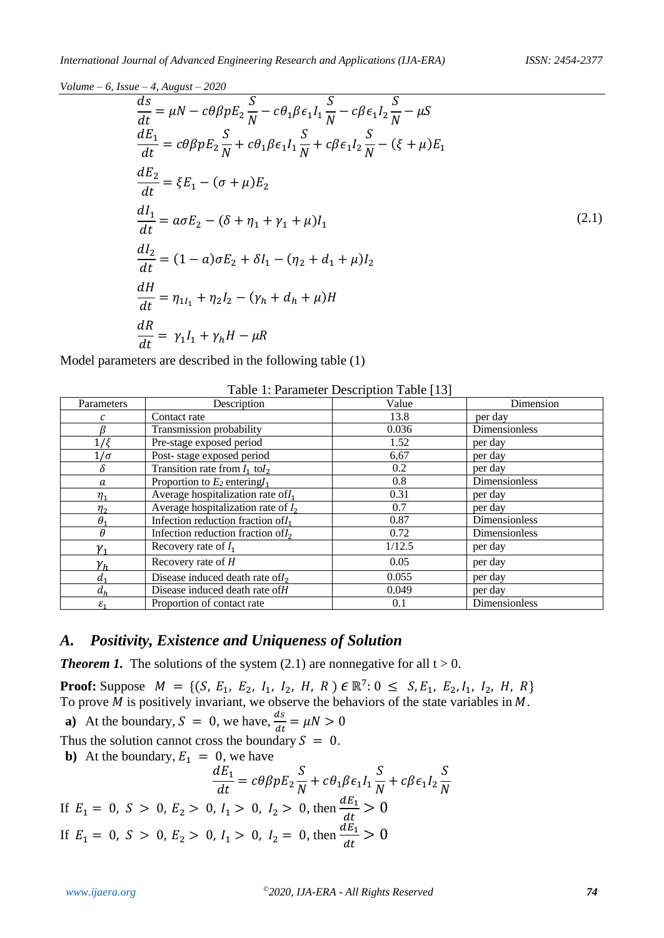$$
\frac{ds}{dt} = \mu N - c\theta \beta p E_2 \frac{S}{N} - c\theta_1 \beta \epsilon_1 I_1 \frac{S}{N} - c\beta \epsilon_1 I_2 \frac{S}{N} - \mu S \n\frac{dE_1}{dt} = c\theta \beta p E_2 \frac{S}{N} + c\theta_1 \beta \epsilon_1 I_1 \frac{S}{N} + c\beta \epsilon_1 I_2 \frac{S}{N} - (\xi + \mu) E_1 \n\frac{dE_2}{dt} = \xi E_1 - (\sigma + \mu) E_2 \n\frac{dI_1}{dt} = a\sigma E_2 - (\delta + \eta_1 + \gamma_1 + \mu) I_1 \n\frac{dI_2}{dt} = (1 - a)\sigma E_2 + \delta I_1 - (\eta_2 + d_1 + \mu) I_2 \n\frac{dH}{dt} = \eta_{1I_1} + \eta_2 I_2 - (\gamma_h + d_h + \mu) H \n\frac{dR}{dt} = \gamma_1 I_1 + \gamma_h H - \mu R
$$
\n(2.1)

Model parameters are described in the following table (1)

| Parameters                 | Description                           | Value  | Dimension     |
|----------------------------|---------------------------------------|--------|---------------|
|                            | Contact rate                          | 13.8   | per day       |
|                            | Transmission probability              | 0.036  | Dimensionless |
| $1/\xi$                    | Pre-stage exposed period              | 1.52   | per day       |
| $1/\sigma$                 | Post-stage exposed period             | 6,67   | per day       |
| δ                          | Transition rate from $I_1$ to $I_2$   | 0.2    | per day       |
| a                          | Proportion to $E_2$ entering $I_1$    | 0.8    | Dimensionless |
| $\eta_{1}$                 | Average hospitalization rate of $I_1$ | 0.31   | per day       |
| $n_{2}$                    | Average hospitalization rate of $I_2$ | 0.7    | per day       |
| $\theta_1$                 | Infection reduction fraction of $I_1$ | 0.87   | Dimensionless |
| $\theta$                   | Infection reduction fraction of $I_2$ | 0.72   | Dimensionless |
| ${\mathcal V}_{\mathbf 1}$ | Recovery rate of $I_1$                | 1/12.5 | per day       |
| ${\gamma}_h$               | Recovery rate of $H$                  | 0.05   | per day       |
| a.                         | Disease induced death rate of $I_2$   | 0.055  | per day       |
| $d_h$                      | Disease induced death rate of H       | 0.049  | per day       |
| $\varepsilon_1$            | Proportion of contact rate            | 0.1    | Dimensionless |

Table 1: Parameter Description Table [13]

# *A. Positivity, Existence and Uniqueness of Solution*

**Theorem 1.** The solutions of the system  $(2.1)$  are nonnegative for all  $t > 0$ .

**Proof:** Suppose  $M = \{ (S, E_1, E_2, I_1, I_2, H, R) \in \mathbb{R}^7 : 0 \le S, E_1, E_2, I_1, I_2, H, R \}$ To prove  $\overline{M}$  is positively invariant, we observe the behaviors of the state variables in  $\overline{M}$ . **a**) At the boundary,  $S = 0$ , we have,  $\frac{ds}{dt} = \mu N > 0$ 

a) At the boundary, 
$$
3 - 0
$$
, we have,  $\frac{d}{dt} - \mu \frac{d}{dt} > 0$ 

Thus the solution cannot cross the boundary  $S = 0$ .

**b**) At the boundary,  $E_1 = 0$ , we have  $\overline{d}E$  $\epsilon$ 

$$
\frac{dE_1}{dt} = c\theta\beta p E_2 \frac{S}{N} + c\theta_1 \beta \epsilon_1 I_1 \frac{S}{N} + c\beta \epsilon_1 I_2 \frac{S}{N}
$$
  
If  $E_1 = 0$ ,  $S > 0$ ,  $E_2 > 0$ ,  $I_1 > 0$ ,  $I_2 > 0$ , then  $\frac{dE_1}{dt} > 0$   
If  $E_1 = 0$ ,  $S > 0$ ,  $E_2 > 0$ ,  $I_1 > 0$ ,  $I_2 = 0$ , then  $\frac{dE_1}{dt} > 0$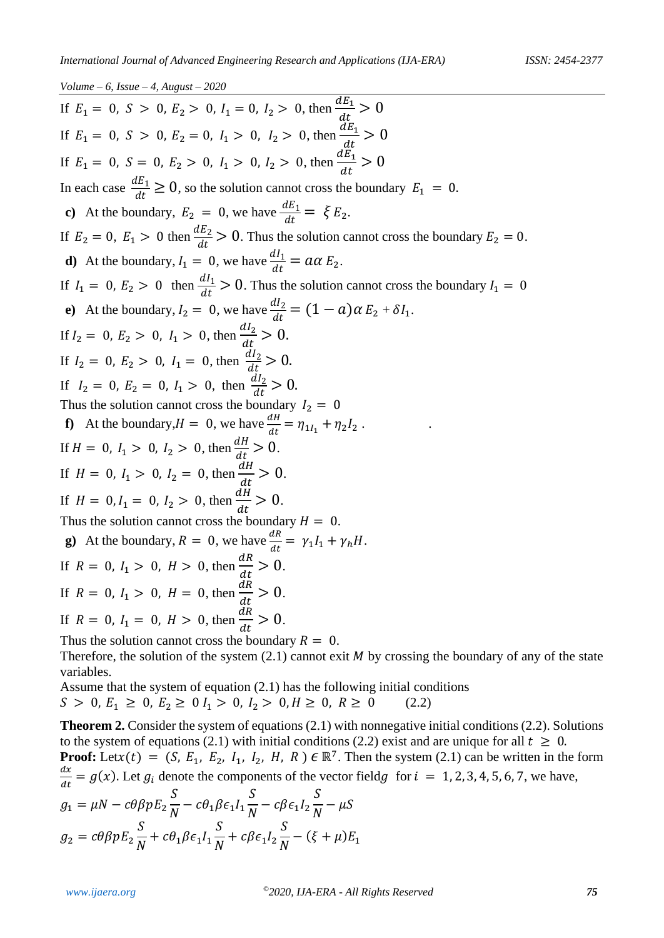If  $E_1 = 0$ ,  $S > 0$ ,  $E_2 > 0$ ,  $I_1 = 0$ ,  $I_2 > 0$ , then  $\frac{dE_1}{dt}$  $\frac{dE_1}{dt} > 0$ If  $E_1 = 0$ ,  $S > 0$ ,  $E_2 = 0$ ,  $I_1 > 0$ ,  $I_2 > 0$ , then  $\frac{dE_1}{dt}$  $\frac{dE_1}{dt} > 0$ If  $E_1 = 0$ ,  $S = 0$ ,  $E_2 > 0$ ,  $I_1 > 0$ ,  $I_2 > 0$ , then  $\frac{dE_1}{dt}$  $\frac{dE_1}{dt} > 0$ In each case  $\frac{dE_1}{dt} \ge 0$ , so the solution cannot cross the boundary  $E_1 = 0$ . **c**) At the boundary,  $E_2 = 0$ , we have  $\frac{dE_1}{dt} = \xi E_2$ . If  $E_2 = 0$ ,  $E_1 > 0$  then  $\frac{dE_2}{dt} > 0$ . Thus the solution cannot cross the boundary  $E_2 = 0$ . **d**) At the boundary,  $I_1 = 0$ , we have  $\frac{dI_1}{dt} = a\alpha E_2$ . If  $I_1 = 0$ ,  $E_2 > 0$  then  $\frac{dI_1}{dt} > 0$ . Thus the solution cannot cross the boundary  $I_1 = 0$ **e**) At the boundary,  $I_2 = 0$ , we have  $\frac{dI_2}{dt} = (1 - a)\alpha E_2 + \delta I_1$ . If  $I_2 = 0$ ,  $E_2 > 0$ ,  $I_1 > 0$ , then  $\frac{dI_2}{dt} > 0$ .  $dt$ If  $I_2 = 0$ ,  $E_2 > 0$ ,  $I_1 = 0$ , then  $\frac{dI_2}{dt} > 0$ . If  $I_2 = 0$ ,  $E_2 = 0$ ,  $I_1 > 0$ , then  $\frac{dI_2}{dt} > 0$ . Thus the solution cannot cross the boundary  $I_2 = 0$ **f**) At the boundary,  $H = 0$ , we have  $\frac{dH}{dt} = \eta_{1I_1} + \eta_2 I_2$ . If  $H = 0$ ,  $I_1 > 0$ ,  $I_2 > 0$ , then  $\frac{dH}{dt} > 0$ . If  $H = 0$ ,  $I_1 > 0$ ,  $I_2 = 0$ , then  $\frac{dH}{dt}$  $\frac{dH}{dt} > 0.$ If  $H = 0, I_1 = 0, I_2 > 0$ , then  $\frac{dH}{dt}$  $\frac{dH}{dt} > 0.$ Thus the solution cannot cross the boundary  $H = 0$ . **g**) At the boundary,  $R = 0$ , we have  $\frac{dR}{dt} = \gamma_1 I_1 + \gamma_h H$ . If  $R = 0$ ,  $I_1 > 0$ ,  $H > 0$ , then  $\frac{dR}{dt}$  $\frac{d\mathbf{x}}{dt} > 0.$ If  $R = 0$ ,  $I_1 > 0$ ,  $H = 0$ , then  $\frac{dR}{dt}$  $\frac{d\mu}{dt} > 0.$ If  $R = 0$ ,  $I_1 = 0$ ,  $H > 0$ , then  $\frac{dR}{dt}$  $\frac{d\mu}{dt} > 0.$ Thus the solution cannot cross the boundary  $R = 0$ .

Therefore, the solution of the system  $(2.1)$  cannot exit M by crossing the boundary of any of the state variables.

Assume that the system of equation (2.1) has the following initial conditions  $S > 0, E_1 \ge 0, E_2 \ge 0, I_1 > 0, I_2 > 0, H \ge 0, R \ge 0$  (2.2)

**Theorem 2.** Consider the system of equations (2.1) with nonnegative initial conditions (2.2). Solutions to the system of equations (2.1) with initial conditions (2.2) exist and are unique for all  $t \geq 0$ . **Proof:** Letx(t) =  $(S, E_1, E_2, I_1, I_2, H, R) \in \mathbb{R}^7$ . Then the system (2.1) can be written in the form  $dx$  $\frac{dx}{dt} = g(x)$ . Let  $g_i$  denote the components of the vector field for  $i = 1, 2, 3, 4, 5, 6, 7$ , we have,  $g_1 = \mu N - c\theta\beta pE_2$  $\mathcal{S}_{0}^{(n)}$  $\frac{1}{N}-c\theta_1\beta\epsilon_1I_1$  $\mathcal{S}_{0}^{(n)}$  $\frac{1}{N} - c\beta \epsilon_1 I_2$  $\mathcal{S}_{0}^{(n)}$  $\boldsymbol{N}$  $-\mu S$ 

$$
g_2 = c\theta \beta p E_2 \frac{S}{N} + c\theta_1 \beta \epsilon_1 I_1 \frac{S}{N} + c\beta \epsilon_1 I_2 \frac{S}{N} - (\xi + \mu) E_1
$$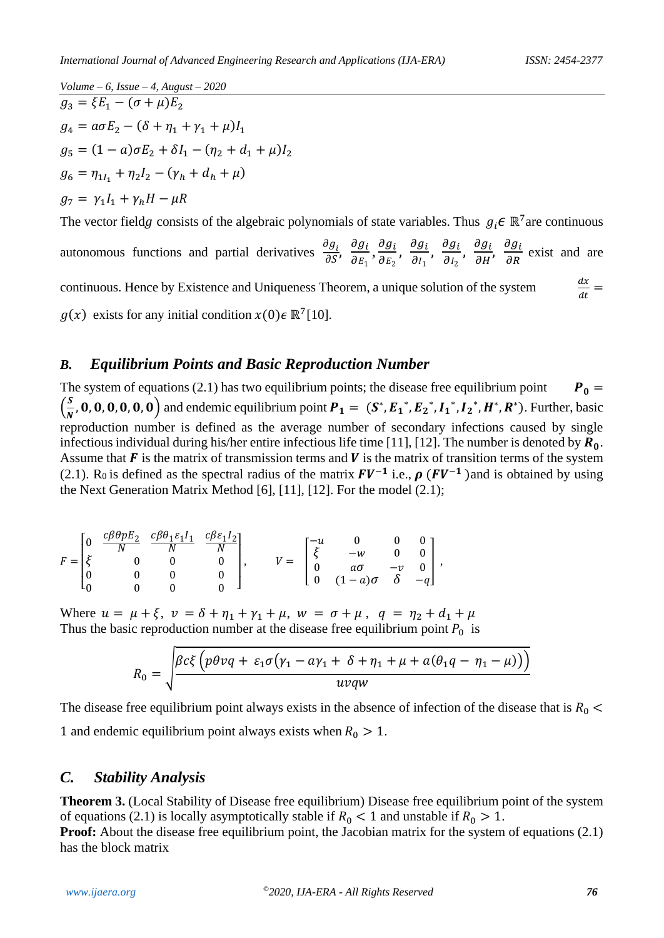*Volume – 6, Issue – 4, August – 2020*  $g_3 = \xi E_1 - (\sigma + \mu)E_2$  $g_4 = a\sigma E_2 - (\delta + \eta_1 + \gamma_1 + \mu)I_1$  $g_5 = (1 - a)\sigma E_2 + \delta I_1 - (\eta_2 + d_1 + \mu)I_2$  $g_6 = \eta_{1l_1} + \eta_2 l_2 - (\gamma_h + d_h + \mu)$  $g_7 = \gamma_1 I_1 + \gamma_h H - \mu R$ The vector fieldg consists of the algebraic polynomials of state variables. Thus  $g_i \in \mathbb{R}^7$  are continuous

autonomous functions and partial derivatives  $\frac{\partial g_i}{\partial S}$ ,  $\frac{\partial g_i}{\partial E_1}$  $\frac{\partial g_i}{\partial E_1}, \frac{\partial g_i}{\partial E_2}$  $\frac{\partial g_i}{\partial E_2}$ ,  $\frac{\partial g_i}{\partial l_1}$  $\frac{\partial g_i}{\partial l_1}$ ,  $\frac{\partial g_i}{\partial l_2}$  $\frac{\partial g_i}{\partial l_2}$ ,  $\frac{\partial g_i}{\partial H}$ ,  $\frac{\partial g_i}{\partial R}$  exist and are continuous. Hence by Existence and Uniqueness Theorem, a unique solution of the system  $dx$  $\frac{dx}{dt} =$  $g(x)$  exists for any initial condition  $x(0) \in \mathbb{R}^7[10]$ .

## *B. Equilibrium Points and Basic Reproduction Number*

The system of equations (2.1) has two equilibrium points; the disease free equilibrium point  $P_0 =$  $\left(\frac{S}{N}\right)$ **5**, **0**, **0**, **0**, **0**, **0**, **0**) and endemic equilibrium point  $P_1 = (S^*, E_1^*, E_2^*, I_1^*, I_2^*, H^*, R^*)$ . Further, basic reproduction number is defined as the average number of secondary infections caused by single infectious individual during his/her entire infectious life time [11], [12]. The number is denoted by  $R_0$ . Assume that  $\bf{F}$  is the matrix of transmission terms and  $\bf{V}$  is the matrix of transition terms of the system (2.1). R<sub>0</sub> is defined as the spectral radius of the matrix  $FV^{-1}$  i.e.,  $\rho$  ( $FV^{-1}$ ) and is obtained by using the Next Generation Matrix Method [6], [11], [12]. For the model (2.1);

$$
F = \begin{bmatrix} 0 & \frac{c\beta\theta pE_2}{N} & \frac{c\beta\theta_1 \varepsilon_1 I_1}{N} & \frac{c\beta \varepsilon_1 I_2}{N} \\ \xi & 0 & 0 & 0 \\ 0 & 0 & 0 & 0 \\ 0 & 0 & 0 & 0 \end{bmatrix}, \qquad V = \begin{bmatrix} -u & 0 & 0 & 0 \\ \xi & -w & 0 & 0 \\ 0 & a\sigma & -v & 0 \\ 0 & (1-a)\sigma & \delta & -q \end{bmatrix},
$$

Where  $u = \mu + \xi$ ,  $v = \delta + \eta_1 + \gamma_1 + \mu$ ,  $w = \sigma + \mu$ ,  $q = \eta_2 + d_1 + \mu$ Thus the basic reproduction number at the disease free equilibrium point  $P_0$  is

$$
R_0 = \sqrt{\frac{\beta c \xi \left( p \theta v q + \varepsilon_1 \sigma (\gamma_1 - a \gamma_1 + \delta + \eta_1 + \mu + a(\theta_1 q - \eta_1 - \mu)) \right)}{uvqw}}
$$

The disease free equilibrium point always exists in the absence of infection of the disease that is  $R_0$  < 1 and endemic equilibrium point always exists when  $R_0 > 1$ .

## *C. Stability Analysis*

**Theorem 3.** (Local Stability of Disease free equilibrium) Disease free equilibrium point of the system of equations (2.1) is locally asymptotically stable if  $R_0 < 1$  and unstable if  $R_0 > 1$ . **Proof:** About the disease free equilibrium point, the Jacobian matrix for the system of equations (2.1) has the block matrix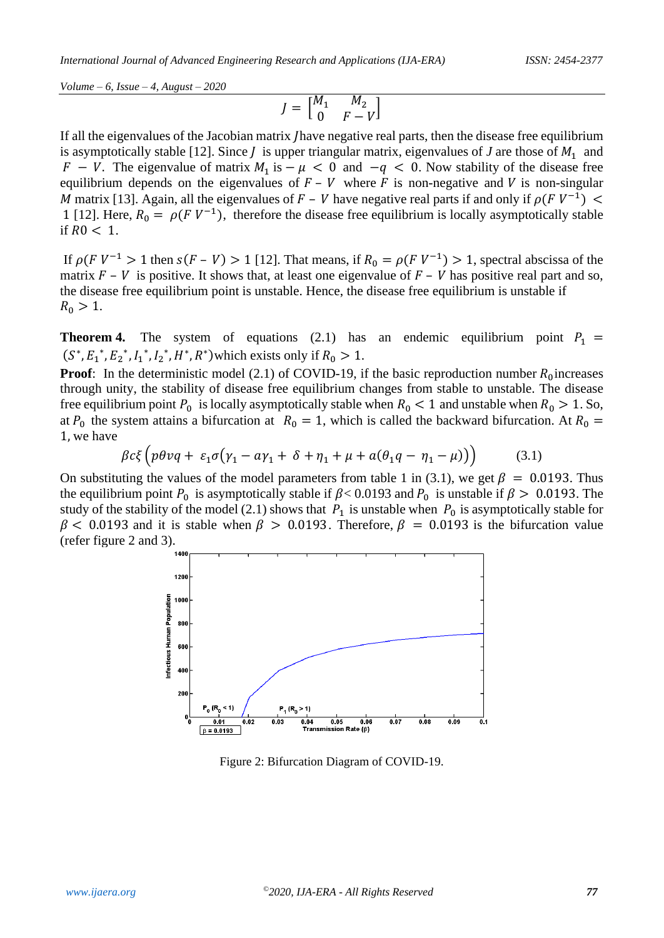$$
J = \begin{bmatrix} M_1 & M_2 \\ 0 & F - V \end{bmatrix}
$$

If all the eigenvalues of the Jacobian matrix have negative real parts, then the disease free equilibrium is asymptotically stable [12]. Since  $\tilde{I}$  is upper triangular matrix, eigenvalues of  $\tilde{J}$  are those of  $M_1$  and  $F - V$ . The eigenvalue of matrix  $M_1$  is  $-\mu < 0$  and  $-q < 0$ . Now stability of the disease free equilibrium depends on the eigenvalues of  $F - V$  where F is non-negative and V is non-singular M matrix [13]. Again, all the eigenvalues of F – V have negative real parts if and only if  $\rho (F V^{-1})$  < 1 [12]. Here,  $R_0 = \rho (F V^{-1})$ , therefore the disease free equilibrium is locally asymptotically stable if  $R0 < 1$ .

If  $\rho(FV^{-1} > 1$  then  $s(F - V) > 1$  [12]. That means, if  $R_0 = \rho(FV^{-1}) > 1$ , spectral abscissa of the matrix  $F - V$  is positive. It shows that, at least one eigenvalue of  $F - V$  has positive real part and so, the disease free equilibrium point is unstable. Hence, the disease free equilibrium is unstable if  $R_0 > 1$ .

**Theorem 4.** The system of equations (2.1) has an endemic equilibrium point  $P_1$  =  $(S^*, E_1^*, E_2^*, I_1^*, I_2^*, H^*, R^*)$  which exists only if  $R_0 > 1$ .

**Proof:** In the deterministic model (2.1) of COVID-19, if the basic reproduction number  $R_0$  increases through unity, the stability of disease free equilibrium changes from stable to unstable. The disease free equilibrium point  $P_0$  is locally asymptotically stable when  $R_0 < 1$  and unstable when  $R_0 > 1$ . So, at  $P_0$  the system attains a bifurcation at  $R_0 = 1$ , which is called the backward bifurcation. At  $R_0 =$ 1, we have

$$
\beta c \xi \left( p \theta v q + \varepsilon_1 \sigma (\gamma_1 - a \gamma_1 + \delta + \eta_1 + \mu + a (\theta_1 q - \eta_1 - \mu) ) \right) \tag{3.1}
$$

On substituting the values of the model parameters from table 1 in (3.1), we get  $\beta = 0.0193$ . Thus the equilibrium point  $P_0$  is asymptotically stable if  $\beta$  < 0.0193 and  $P_0$  is unstable if  $\beta$  > 0.0193. The study of the stability of the model (2.1) shows that  $P_1$  is unstable when  $P_0$  is asymptotically stable for  $\beta$  < 0.0193 and it is stable when  $\beta$  > 0.0193. Therefore,  $\beta$  = 0.0193 is the bifurcation value (refer figure 2 and 3).



Figure 2: Bifurcation Diagram of COVID-19.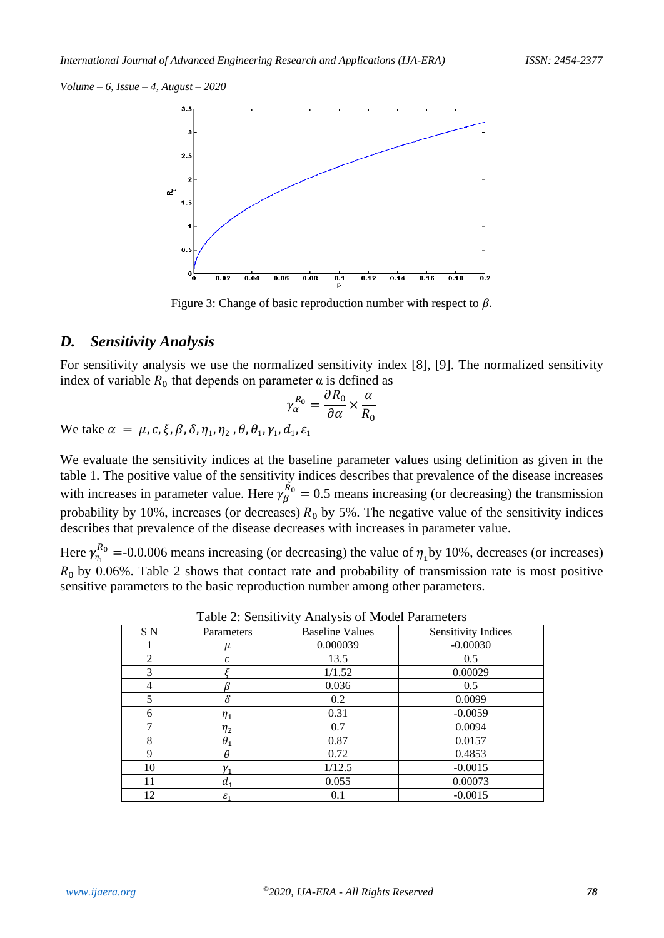

Figure 3: Change of basic reproduction number with respect to  $\beta$ .

#### *D. Sensitivity Analysis*

For sensitivity analysis we use the normalized sensitivity index [8], [9]. The normalized sensitivity index of variable  $R_0$  that depends on parameter  $\alpha$  is defined as

$$
\gamma_{\alpha}^{R_0} = \frac{\partial R_0}{\partial \alpha} \times \frac{\alpha}{R_0}
$$

We take  $\alpha = \mu$ ,  $c$ ,  $\xi$ ,  $\beta$ ,  $\delta$ ,  $\eta_1$ ,  $\eta_2$ ,  $\theta$ ,  $\theta_1$ ,  $\gamma_1$ ,  $d_1$ ,  $\varepsilon_1$ 

We evaluate the sensitivity indices at the baseline parameter values using definition as given in the table 1. The positive value of the sensitivity indices describes that prevalence of the disease increases with increases in parameter value. Here  $\gamma_{\beta}^{R_0} = 0.5$  means increasing (or decreasing) the transmission probability by 10%, increases (or decreases)  $R_0$  by 5%. The negative value of the sensitivity indices describes that prevalence of the disease decreases with increases in parameter value.

Here  $\gamma_{\eta_1}^{R_0}$  =-0.0.006 means increasing (or decreasing) the value of  $\eta_1$ by 10%, decreases (or increases)  $R_0$  by 0.06%. Table 2 shows that contact rate and probability of transmission rate is most positive sensitive parameters to the basic reproduction number among other parameters.

| S N            | Parameters      | <b>Baseline Values</b> | <b>Sensitivity Indices</b> |
|----------------|-----------------|------------------------|----------------------------|
|                | μ               | 0.000039               | $-0.00030$                 |
| $\overline{2}$ | C               | 13.5                   | 0.5                        |
| 3              |                 | 1/1.52                 | 0.00029                    |
| 4              |                 | 0.036                  | 0.5                        |
| 5              | $\delta$        | 0.2                    | 0.0099                     |
| 6              | $\eta_{1}$      | 0.31                   | $-0.0059$                  |
| ⇁              | $\eta_2$        | 0.7                    | 0.0094                     |
| 8              | $\theta$        | 0.87                   | 0.0157                     |
| $\mathbf Q$    | $\theta$        | 0.72                   | 0.4853                     |
| 10             | ν,              | 1/12.5                 | $-0.0015$                  |
| 11             | $d_1$           | 0.055                  | 0.00073                    |
| 12             | $\varepsilon_1$ | 0.1                    | $-0.0015$                  |

Table 2: Sensitivity Analysis of Model Parameters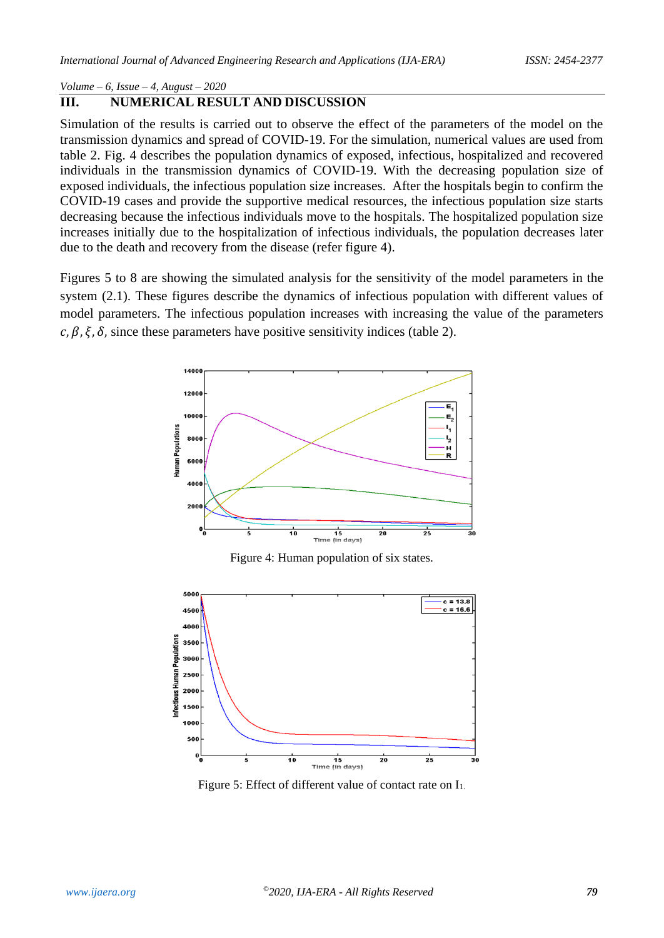## **III. NUMERICAL RESULT AND DISCUSSION**

Simulation of the results is carried out to observe the effect of the parameters of the model on the transmission dynamics and spread of COVID-19. For the simulation, numerical values are used from table 2. Fig. 4 describes the population dynamics of exposed, infectious, hospitalized and recovered individuals in the transmission dynamics of COVID-19. With the decreasing population size of exposed individuals, the infectious population size increases. After the hospitals begin to confirm the COVID-19 cases and provide the supportive medical resources, the infectious population size starts decreasing because the infectious individuals move to the hospitals. The hospitalized population size increases initially due to the hospitalization of infectious individuals, the population decreases later due to the death and recovery from the disease (refer figure 4).

Figures 5 to 8 are showing the simulated analysis for the sensitivity of the model parameters in the system (2.1). These figures describe the dynamics of infectious population with different values of model parameters. The infectious population increases with increasing the value of the parameters  $c, \beta, \xi, \delta$ , since these parameters have positive sensitivity indices (table 2).



Figure 4: Human population of six states.



Figure 5: Effect of different value of contact rate on  $I_1$ .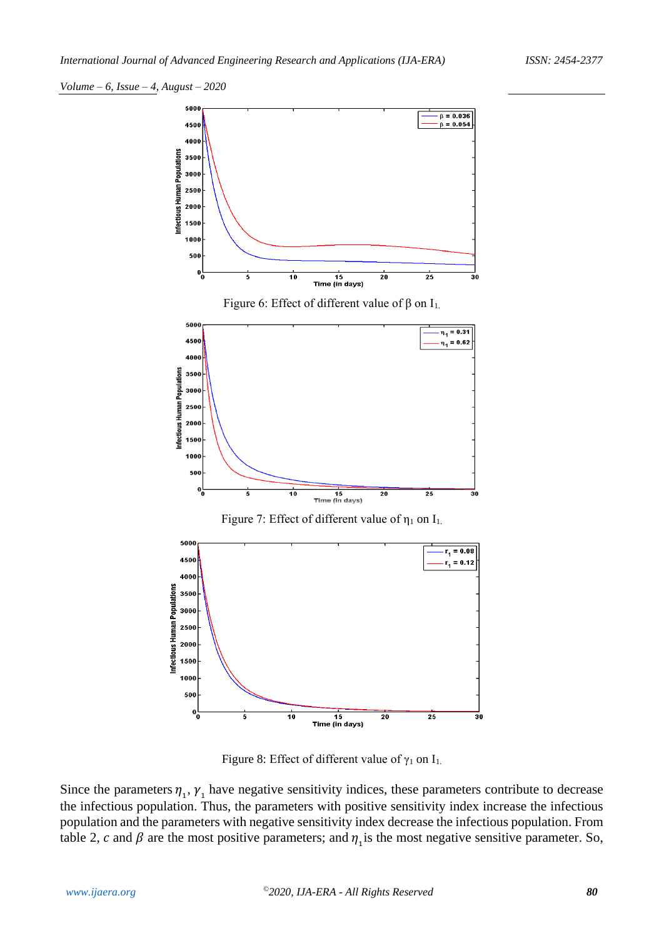

Figure 6: Effect of different value of  $β$  on  $I_1$ .



Figure 7: Effect of different value of  $\eta_1$  on  $I_1$ .



Figure 8: Effect of different value of  $\gamma_1$  on  $I_1$ .

Since the parameters  $\eta_1$ ,  $\gamma_1$  have negative sensitivity indices, these parameters contribute to decrease the infectious population. Thus, the parameters with positive sensitivity index increase the infectious population and the parameters with negative sensitivity index decrease the infectious population. From table 2, c and  $\beta$  are the most positive parameters; and  $\eta_1$  is the most negative sensitive parameter. So,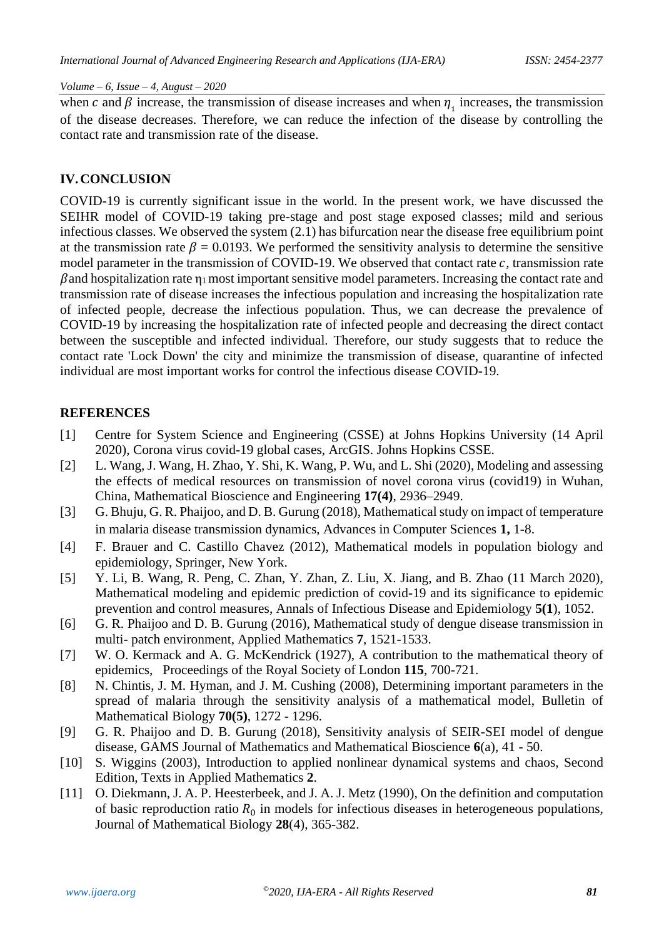when c and  $\beta$  increase, the transmission of disease increases and when  $\eta_1$  increases, the transmission of the disease decreases. Therefore, we can reduce the infection of the disease by controlling the contact rate and transmission rate of the disease.

#### **IV.CONCLUSION**

COVID-19 is currently significant issue in the world. In the present work, we have discussed the SEIHR model of COVID-19 taking pre-stage and post stage exposed classes; mild and serious infectious classes. We observed the system (2.1) has bifurcation near the disease free equilibrium point at the transmission rate  $\beta = 0.0193$ . We performed the sensitivity analysis to determine the sensitive model parameter in the transmission of COVID-19. We observed that contact rate  $c$ , transmission rate  $\beta$  and hospitalization rate  $\eta_1$  most important sensitive model parameters. Increasing the contact rate and transmission rate of disease increases the infectious population and increasing the hospitalization rate of infected people, decrease the infectious population. Thus, we can decrease the prevalence of COVID-19 by increasing the hospitalization rate of infected people and decreasing the direct contact between the susceptible and infected individual. Therefore, our study suggests that to reduce the contact rate 'Lock Down' the city and minimize the transmission of disease, quarantine of infected individual are most important works for control the infectious disease COVID-19.

#### **REFERENCES**

- [1] Centre for System Science and Engineering (CSSE) at Johns Hopkins University (14 April 2020), Corona virus covid-19 global cases, ArcGIS. Johns Hopkins CSSE.
- [2] L. Wang, J. Wang, H. Zhao, Y. Shi, K. Wang, P. Wu, and L. Shi (2020), Modeling and assessing the effects of medical resources on transmission of novel corona virus (covid19) in Wuhan, China, Mathematical Bioscience and Engineering **17(4)**, 2936–2949.
- [3] G. Bhuju, G. R. Phaijoo, and D. B. Gurung (2018), Mathematical study on impact of temperature in malaria disease transmission dynamics, Advances in Computer Sciences **1,** 1-8.
- [4] F. Brauer and C. Castillo Chavez (2012), Mathematical models in population biology and epidemiology, Springer, New York.
- [5] Y. Li, B. Wang, R. Peng, C. Zhan, Y. Zhan, Z. Liu, X. Jiang, and B. Zhao (11 March 2020), Mathematical modeling and epidemic prediction of covid-19 and its significance to epidemic prevention and control measures, Annals of Infectious Disease and Epidemiology **5(1**), 1052.
- [6] G. R. Phaijoo and D. B. Gurung (2016), Mathematical study of dengue disease transmission in multi- patch environment, Applied Mathematics **7**, 1521-1533.
- [7] W. O. Kermack and A. G. McKendrick (1927), A contribution to the mathematical theory of epidemics, Proceedings of the Royal Society of London **115**, 700-721.
- [8] N. Chintis, J. M. Hyman, and J. M. Cushing (2008), Determining important parameters in the spread of malaria through the sensitivity analysis of a mathematical model, Bulletin of Mathematical Biology **70(5)**, 1272 - 1296.
- [9] G. R. Phaijoo and D. B. Gurung (2018), Sensitivity analysis of SEIR-SEI model of dengue disease, GAMS Journal of Mathematics and Mathematical Bioscience **6**(a), 41 - 50.
- [10] S. Wiggins (2003), Introduction to applied nonlinear dynamical systems and chaos, Second Edition, Texts in Applied Mathematics **2**.
- [11] O. Diekmann, J. A. P. Heesterbeek, and J. A. J. Metz (1990), On the definition and computation of basic reproduction ratio  $R_0$  in models for infectious diseases in heterogeneous populations, Journal of Mathematical Biology **28**(4), 365-382.